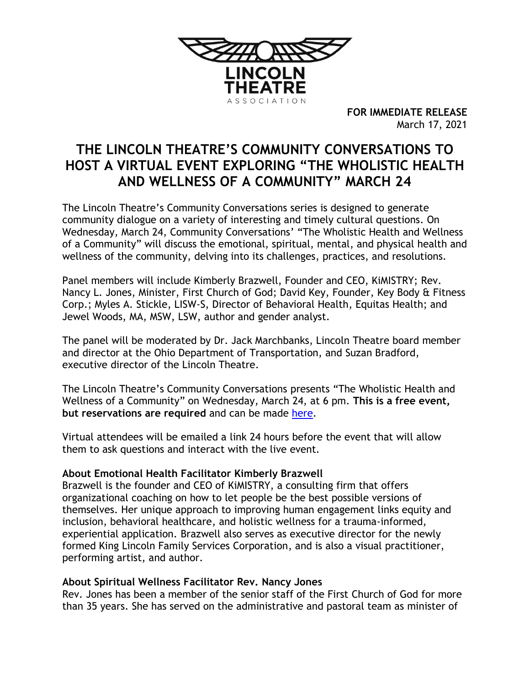

**FOR IMMEDIATE RELEASE** March 17, 2021

# **THE LINCOLN THEATRE'S COMMUNITY CONVERSATIONS TO HOST A VIRTUAL EVENT EXPLORING "THE WHOLISTIC HEALTH AND WELLNESS OF A COMMUNITY" MARCH 24**

The Lincoln Theatre's Community Conversations series is designed to generate community dialogue on a variety of interesting and timely cultural questions. On Wednesday, March 24, Community Conversations' "The Wholistic Health and Wellness of a Community" will discuss the emotional, spiritual, mental, and physical health and wellness of the community, delving into its challenges, practices, and resolutions.

Panel members will include Kimberly Brazwell, Founder and CEO, KiMISTRY; Rev. Nancy L. Jones, Minister, First Church of God; David Key, Founder, Key Body & Fitness Corp.; Myles A. Stickle, LISW-S, Director of Behavioral Health, Equitas Health; and Jewel Woods, MA, MSW, LSW, author and gender analyst.

The panel will be moderated by Dr. Jack Marchbanks, Lincoln Theatre board member and director at the Ohio Department of Transportation, and Suzan Bradford, executive director of the Lincoln Theatre.

The Lincoln Theatre's Community Conversations presents "The Wholistic Health and Wellness of a Community" on Wednesday, March 24, at 6 pm. **This is a free event, but reservations are required** and can be made [here.](https://secure.qgiv.com/for/commconversa/event/821212/)

Virtual attendees will be emailed a link 24 hours before the event that will allow them to ask questions and interact with the live event.

# **About Emotional Health Facilitator Kimberly Brazwell**

Brazwell is the founder and CEO of KiMISTRY, a consulting firm that offers organizational coaching on how to let people be the best possible versions of themselves. Her unique approach to improving human engagement links equity and inclusion, behavioral healthcare, and holistic wellness for a trauma-informed, experiential application. Brazwell also serves as executive director for the newly formed King Lincoln Family Services Corporation, and is also a visual practitioner, performing artist, and author.

# **About Spiritual Wellness Facilitator Rev. Nancy Jones**

Rev. Jones has been a member of the senior staff of the First Church of God for more than 35 years. She has served on the administrative and pastoral team as minister of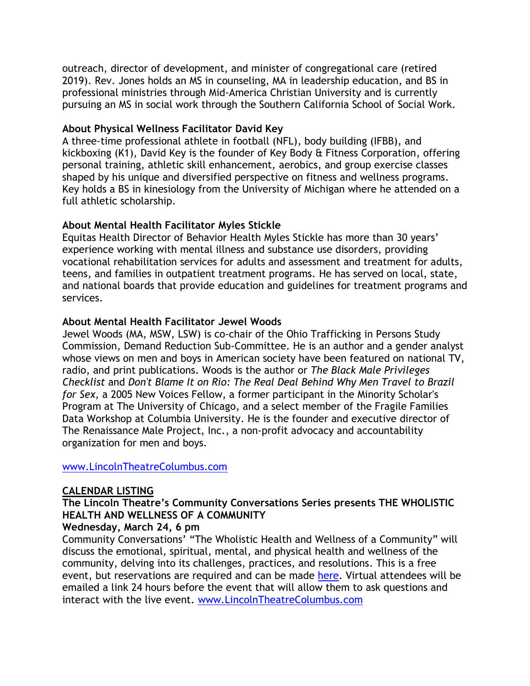outreach, director of development, and minister of congregational care (retired 2019). Rev. Jones holds an MS in counseling, MA in leadership education, and BS in professional ministries through Mid-America Christian University and is currently pursuing an MS in social work through the Southern California School of Social Work.

## **About Physical Wellness Facilitator David Key**

A three-time professional athlete in football (NFL), body building (IFBB), and kickboxing (K1), David Key is the founder of Key Body & Fitness Corporation, offering personal training, athletic skill enhancement, aerobics, and group exercise classes shaped by his unique and diversified perspective on fitness and wellness programs. Key holds a BS in kinesiology from the University of Michigan where he attended on a full athletic scholarship.

# **About Mental Health Facilitator Myles Stickle**

Equitas Health Director of Behavior Health Myles Stickle has more than 30 years' experience working with mental illness and substance use disorders, providing vocational rehabilitation services for adults and assessment and treatment for adults, teens, and families in outpatient treatment programs. He has served on local, state, and national boards that provide education and guidelines for treatment programs and services.

## **About Mental Health Facilitator Jewel Woods**

Jewel Woods (MA, MSW, LSW) is co-chair of the Ohio Trafficking in Persons Study Commission, Demand Reduction Sub-Committee. He is an author and a gender analyst whose views on men and boys in American society have been featured on national TV, radio, and print publications. Woods is the author or *The Black Male Privileges Checklist* and *Don't Blame It on Rio: The Real Deal Behind Why Men Travel to Brazil for Sex*, a 2005 New Voices Fellow, a former participant in the Minority Scholar's Program at The University of Chicago, and a select member of the Fragile Families Data Workshop at Columbia University. He is the founder and executive director of The Renaissance Male Project, Inc., a non-profit advocacy and accountability organization for men and boys.

#### [www.LincolnTheatreColumbus.com](http://www.lincolntheatrecolumbus.com/)

#### **CALENDAR LISTING**

# **The Lincoln Theatre's Community Conversations Series presents THE WHOLISTIC HEALTH AND WELLNESS OF A COMMUNITY**

#### **Wednesday, March 24, 6 pm**

Community Conversations' "The Wholistic Health and Wellness of a Community" will discuss the emotional, spiritual, mental, and physical health and wellness of the community, delving into its challenges, practices, and resolutions. This is a free event, but reservations are required and can be made [here.](https://secure.qgiv.com/for/commconversa/event/821212/) Virtual attendees will be emailed a link 24 hours before the event that will allow them to ask questions and interact with the live event. [www.LincolnTheatreColumbus.com](http://www.lincolntheatrecolumbus.com/)